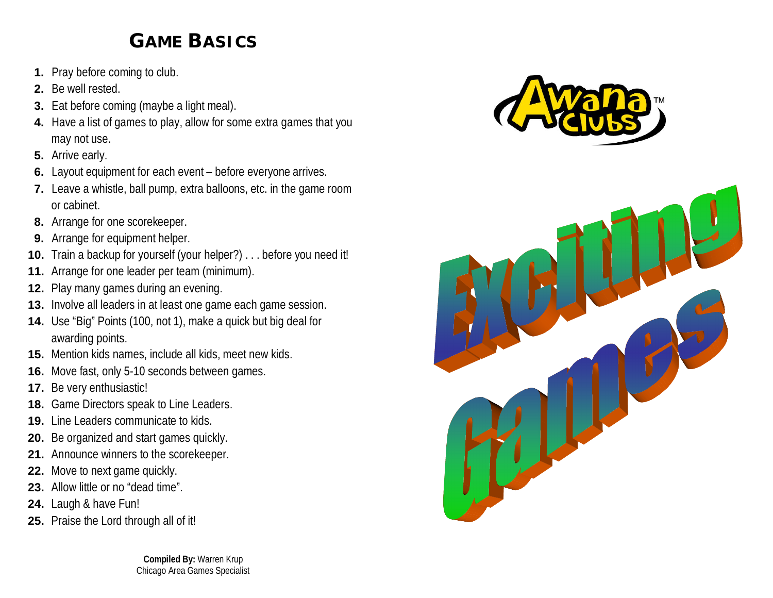## **GAME BASICS**

- **1.** Pray before coming to club.
- **2.** Be well rested.
- **3.** Eat before coming (maybe a light meal).
- **4.** Have a list of games to play, allow for some extra games that you may not use.
- **5.** Arrive early.
- **6.** Layout equipment for each event before everyone arrives.
- **7.** Leave a whistle, ball pump, extra balloons, etc. in the game room or cabinet.
- **8.** Arrange for one scorekeeper.
- **9.** Arrange for equipment helper.
- **10.** Train a backup for yourself (your helper?) . . . before you need it!
- **11.** Arrange for one leader per team (minimum).
- **12.** Play many games during an evening.
- **13.** Involve all leaders in at least one game each game session.
- **14.** Use "Big" Points (100, not 1), make a quick but big deal for awarding points.
- **15.** Mention kids names, include all kids, meet new kids.
- **16.** Move fast, only 5-10 seconds between games.
- **17.** Be very enthusiastic!
- **18.** Game Directors speak to Line Leaders.
- **19.** Line Leaders communicate to kids.
- **20.** Be organized and start games quickly.
- **21.** Announce winners to the scorekeeper.
- **22.** Move to next game quickly.
- 23. Allow little or no "dead time".
- **24.** Laugh & have Fun!
- **25.** Praise the Lord through all of it!

**Compiled By:** Warren Krup Chicago Area Games Specialist



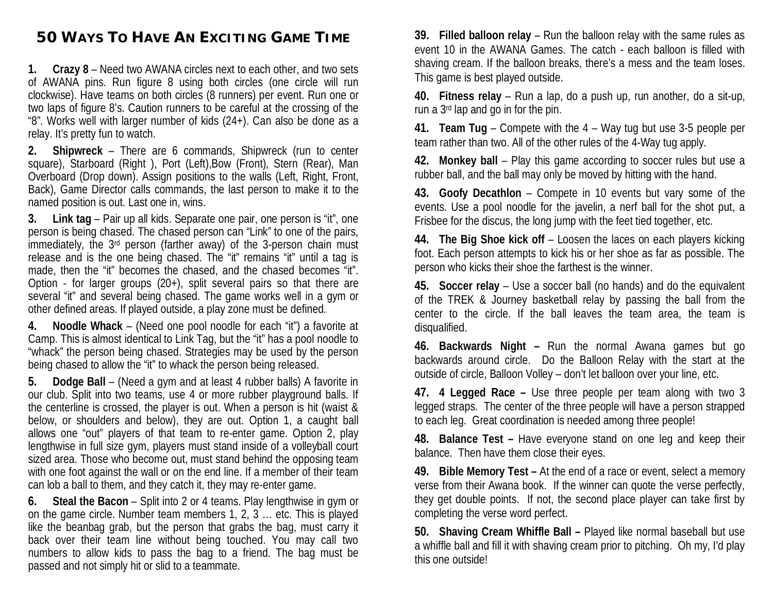## **50 WAYS TO HAVE AN EXCITING GAME TIME**

**1. Crazy 8** – Need two AWANA circles next to each other, and two sets of AWANA pins. Run figure 8 using both circles (one circle will run clockwise). Have teams on both circles (8 runners) per event. Run one or two laps of figure 8's. Caution runners to be careful at the crossing of the "8". Works well with larger number of kids (24+). Can also be done as a relay. It's pretty fun to watch.

**2. Shipwreck** – There are 6 commands, Shipwreck (run to center square), Starboard (Right ), Port (Left),Bow (Front), Stern (Rear), Man Overboard (Drop down). Assign positions to the walls (Left, Right, Front, Back), Game Director calls commands, the last person to make it to the named position is out. Last one in, wins.

**3. Link tag** – Pair up all kids. Separate one pair, one person is "it", one person is being chased. The chased person can "Link" to one of the pairs, immediately, the 3<sup>rd</sup> person (farther away) of the 3-person chain must release and is the one being chased. The "it" remains "it" until a tag is made, then the "it" becomes the chased, and the chased becomes "it". Option - for larger groups (20+), split several pairs so that there are several "it" and several being chased. The game works well in a gym or other defined areas. If played outside, a play zone must be defined.

**4. Noodle Whack** – (Need one pool noodle for each "it") a favorite at Camp. This is almost identical to Link Tag, but the "it" has a pool noodle to "whack" the person being chased. Strategies may be used by the person being chased to allow the "it" to whack the person being released.

**5. Dodge Ball** – (Need a gym and at least 4 rubber balls) A favorite in our club. Split into two teams, use 4 or more rubber playground balls. If the centerline is crossed, the player is out. When a person is hit (waist & below, or shoulders and below), they are out. Option 1, a caught ball allows one "out" players of that team to re-enter game. Option 2, play lengthwise in full size gym, players must stand inside of a volleyball court sized area. Those who become out, must stand behind the opposing team with one foot against the wall or on the end line. If a member of their team can lob a ball to them, and they catch it, they may re-enter game.

**6. Steal the Bacon** – Split into 2 or 4 teams. Play lengthwise in gym or on the game circle. Number team members 1, 2, 3 … etc. This is played like the beanbag grab, but the person that grabs the bag, must carry it back over their team line without being touched. You may call two numbers to allow kids to pass the bag to a friend. The bag must be passed and not simply hit or slid to a teammate.

**39. Filled balloon relay** – Run the balloon relay with the same rules as event 10 in the AWANA Games. The catch - each balloon is filled with shaving cream. If the balloon breaks, there's a mess and the team loses. This game is best played outside.

**40. Fitness relay** – Run a lap, do a push up, run another, do a sit-up, run a 3rd lap and go in for the pin.

**41. Team Tug** – Compete with the 4 – Way tug but use 3-5 people per team rather than two. All of the other rules of the 4-Way tug apply.

**42. Monkey ball** – Play this game according to soccer rules but use a rubber ball, and the ball may only be moved by hitting with the hand.

**43. Goofy Decathlon** – Compete in 10 events but vary some of the events. Use a pool noodle for the javelin, a nerf ball for the shot put, a Frisbee for the discus, the long jump with the feet tied together, etc.

**44. The Big Shoe kick off** – Loosen the laces on each players kicking foot. Each person attempts to kick his or her shoe as far as possible. The person who kicks their shoe the farthest is the winner.

**45. Soccer relay** – Use a soccer ball (no hands) and do the equivalent of the TREK & Journey basketball relay by passing the ball from the center to the circle. If the ball leaves the team area, the team is disqualified.

**46. Backwards Night –** Run the normal Awana games but go backwards around circle. Do the Balloon Relay with the start at the outside of circle, Balloon Volley – don't let balloon over your line, etc.

**47. 4 Legged Race –** Use three people per team along with two 3 legged straps. The center of the three people will have a person strapped to each leg. Great coordination is needed among three people!

**48. Balance Test –** Have everyone stand on one leg and keep their balance. Then have them close their eyes.

**49. Bible Memory Test –** At the end of a race or event, select a memory verse from their Awana book. If the winner can quote the verse perfectly, they get double points. If not, the second place player can take first by completing the verse word perfect.

**50. Shaving Cream Whiffle Ball –** Played like normal baseball but use a whiffle ball and fill it with shaving cream prior to pitching. Oh my, I'd play this one outside!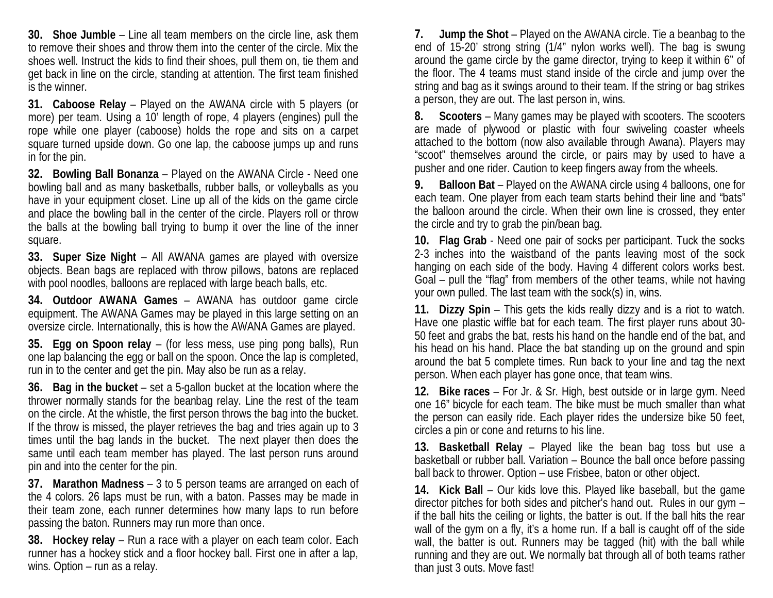**30. Shoe Jumble** – Line all team members on the circle line, ask them to remove their shoes and throw them into the center of the circle. Mix the shoes well. Instruct the kids to find their shoes, pull them on, tie them and get back in line on the circle, standing at attention. The first team finished is the winner.

**31. Caboose Relay** – Played on the AWANA circle with 5 players (or more) per team. Using a 10' length of rope, 4 players (engines) pull the rope while one player (caboose) holds the rope and sits on a carpet square turned upside down. Go one lap, the caboose jumps up and runs in for the pin.

**32. Bowling Ball Bonanza** – Played on the AWANA Circle - Need one bowling ball and as many basketballs, rubber balls, or volleyballs as you have in your equipment closet. Line up all of the kids on the game circle and place the bowling ball in the center of the circle. Players roll or throw the balls at the bowling ball trying to bump it over the line of the inner square.

**33. Super Size Night** – All AWANA games are played with oversize objects. Bean bags are replaced with throw pillows, batons are replaced with pool noodles, balloons are replaced with large beach balls, etc.

**34. Outdoor AWANA Games** – AWANA has outdoor game circle equipment. The AWANA Games may be played in this large setting on an oversize circle. Internationally, this is how the AWANA Games are played.

**35. Egg on Spoon relay** – (for less mess, use ping pong balls), Run one lap balancing the egg or ball on the spoon. Once the lap is completed, run in to the center and get the pin. May also be run as a relay.

**36. Bag in the bucket** – set a 5-gallon bucket at the location where the thrower normally stands for the beanbag relay. Line the rest of the team on the circle. At the whistle, the first person throws the bag into the bucket. If the throw is missed, the player retrieves the bag and tries again up to 3 times until the bag lands in the bucket. The next player then does the same until each team member has played. The last person runs around pin and into the center for the pin.

**37. Marathon Madness** – 3 to 5 person teams are arranged on each of the 4 colors. 26 laps must be run, with a baton. Passes may be made in their team zone, each runner determines how many laps to run before passing the baton. Runners may run more than once.

**38. Hockey relay** – Run a race with a player on each team color. Each runner has a hockey stick and a floor hockey ball. First one in after a lap, wins. Option – run as a relay.

**7. Jump the Shot** – Played on the AWANA circle. Tie a beanbag to the end of 15-20' strong string (1/4" nylon works well). The bag is swung around the game circle by the game director, trying to keep it within 6" of the floor. The 4 teams must stand inside of the circle and jump over the string and bag as it swings around to their team. If the string or bag strikes a person, they are out. The last person in, wins.

**8. Scooters** – Many games may be played with scooters. The scooters are made of plywood or plastic with four swiveling coaster wheels attached to the bottom (now also available through Awana). Players may "scoot" themselves around the circle, or pairs may by used to have a pusher and one rider. Caution to keep fingers away from the wheels.

**9. Balloon Bat** – Played on the AWANA circle using 4 balloons, one for each team. One player from each team starts behind their line and "bats" the balloon around the circle. When their own line is crossed, they enter the circle and try to grab the pin/bean bag.

**10. Flag Grab** - Need one pair of socks per participant. Tuck the socks 2-3 inches into the waistband of the pants leaving most of the sock hanging on each side of the body. Having 4 different colors works best. Goal – pull the "flag" from members of the other teams, while not having your own pulled. The last team with the sock(s) in, wins.

**11. Dizzy Spin** – This gets the kids really dizzy and is a riot to watch. Have one plastic wiffle bat for each team. The first player runs about 30- 50 feet and grabs the bat, rests his hand on the handle end of the bat, and his head on his hand. Place the bat standing up on the ground and spin around the bat 5 complete times. Run back to your line and tag the next person. When each player has gone once, that team wins.

**12. Bike races** – For Jr. & Sr. High, best outside or in large gym. Need one 16" bicycle for each team. The bike must be much smaller than what the person can easily ride. Each player rides the undersize bike 50 feet, circles a pin or cone and returns to his line.

**13. Basketball Relay** – Played like the bean bag toss but use a basketball or rubber ball. Variation – Bounce the ball once before passing ball back to thrower. Option – use Frisbee, baton or other object.

**14. Kick Ball** – Our kids love this. Played like baseball, but the game director pitches for both sides and pitcher's hand out. Rules in our gym – if the ball hits the ceiling or lights, the batter is out. If the ball hits the rear wall of the gym on a fly, it's a home run. If a ball is caught off of the side wall, the batter is out. Runners may be tagged (hit) with the ball while running and they are out. We normally bat through all of both teams rather than just 3 outs. Move fast!